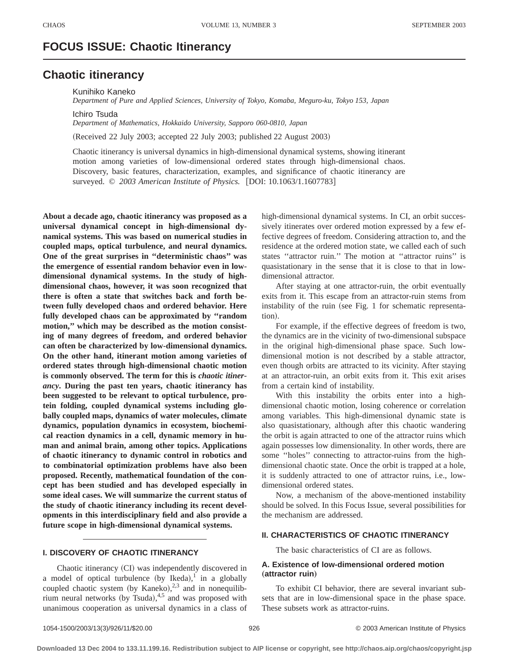# **FOCUS ISSUE: Chaotic Itinerancy**

# **Chaotic itinerancy**

Kunihiko Kaneko

*Department of Pure and Applied Sciences, University of Tokyo, Komaba, Meguro-ku, Tokyo 153, Japan*

Ichiro Tsuda

*Department of Mathematics, Hokkaido University, Sapporo 060-0810, Japan*

(Received 22 July 2003; accepted 22 July 2003; published 22 August 2003)

Chaotic itinerancy is universal dynamics in high-dimensional dynamical systems, showing itinerant motion among varieties of low-dimensional ordered states through high-dimensional chaos. Discovery, basic features, characterization, examples, and significance of chaotic itinerancy are surveyed. © 2003 American Institute of Physics. [DOI: 10.1063/1.1607783]

**About a decade ago, chaotic itinerancy was proposed as a universal dynamical concept in high-dimensional dynamical systems. This was based on numerical studies in coupled maps, optical turbulence, and neural dynamics. One of the great surprises in ''deterministic chaos'' was the emergence of essential random behavior even in lowdimensional dynamical systems. In the study of highdimensional chaos, however, it was soon recognized that there is often a state that switches back and forth between fully developed chaos and ordered behavior. Here fully developed chaos can be approximated by ''random motion,'' which may be described as the motion consisting of many degrees of freedom, and ordered behavior can often be characterized by low-dimensional dynamics. On the other hand, itinerant motion among varieties of ordered states through high-dimensional chaotic motion is commonly observed. The term for this is** *chaotic itinerancy***. During the past ten years, chaotic itinerancy has been suggested to be relevant to optical turbulence, protein folding, coupled dynamical systems including globally coupled maps, dynamics of water molecules, climate dynamics, population dynamics in ecosystem, biochemical reaction dynamics in a cell, dynamic memory in human and animal brain, among other topics. Applications of chaotic itinerancy to dynamic control in robotics and to combinatorial optimization problems have also been proposed. Recently, mathematical foundation of the concept has been studied and has developed especially in some ideal cases. We will summarize the current status of the study of chaotic itinerancy including its recent developments in this interdisciplinary field and also provide a future scope in high-dimensional dynamical systems.**

# **I. DISCOVERY OF CHAOTIC ITINERANCY**

Chaotic itinerancy (CI) was independently discovered in a model of optical turbulence (by Ikeda), $1$  in a globally coupled chaotic system (by Kaneko), $2,3$  and in nonequilibrium neural networks (by Tsuda), $4,5$  and was proposed with unanimous cooperation as universal dynamics in a class of high-dimensional dynamical systems. In CI, an orbit successively itinerates over ordered motion expressed by a few effective degrees of freedom. Considering attraction to, and the residence at the ordered motion state, we called each of such states ''attractor ruin.'' The motion at ''attractor ruins'' is quasistationary in the sense that it is close to that in lowdimensional attractor.

After staying at one attractor-ruin, the orbit eventually exits from it. This escape from an attractor-ruin stems from instability of the ruin (see Fig. 1 for schematic representation).

For example, if the effective degrees of freedom is two, the dynamics are in the vicinity of two-dimensional subspace in the original high-dimensional phase space. Such lowdimensional motion is not described by a stable attractor, even though orbits are attracted to its vicinity. After staying at an attractor-ruin, an orbit exits from it. This exit arises from a certain kind of instability.

With this instability the orbits enter into a highdimensional chaotic motion, losing coherence or correlation among variables. This high-dimensional dynamic state is also quasistationary, although after this chaotic wandering the orbit is again attracted to one of the attractor ruins which again possesses low dimensionality. In other words, there are some ''holes'' connecting to attractor-ruins from the highdimensional chaotic state. Once the orbit is trapped at a hole, it is suddenly attracted to one of attractor ruins, i.e., lowdimensional ordered states.

Now, a mechanism of the above-mentioned instability should be solved. In this Focus Issue, several possibilities for the mechanism are addressed.

# **II. CHARACTERISTICS OF CHAOTIC ITINERANCY**

The basic characteristics of CI are as follows.

## **A. Existence of low-dimensional ordered motion** (attractor ruin)

To exhibit CI behavior, there are several invariant subsets that are in low-dimensional space in the phase space. These subsets work as attractor-ruins.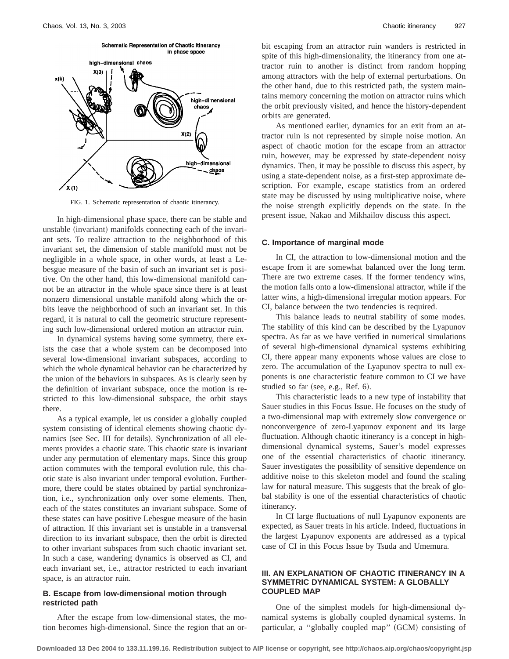

FIG. 1. Schematic representation of chaotic itinerancy.

In high-dimensional phase space, there can be stable and unstable (invariant) manifolds connecting each of the invariant sets. To realize attraction to the neighborhood of this invariant set, the dimension of stable manifold must not be negligible in a whole space, in other words, at least a Lebesgue measure of the basin of such an invariant set is positive. On the other hand, this low-dimensional manifold cannot be an attractor in the whole space since there is at least nonzero dimensional unstable manifold along which the orbits leave the neighborhood of such an invariant set. In this regard, it is natural to call the geometric structure representing such low-dimensional ordered motion an attractor ruin.

In dynamical systems having some symmetry, there exists the case that a whole system can be decomposed into several low-dimensional invariant subspaces, according to which the whole dynamical behavior can be characterized by the union of the behaviors in subspaces. As is clearly seen by the definition of invariant subspace, once the motion is restricted to this low-dimensional subspace, the orbit stays there.

As a typical example, let us consider a globally coupled system consisting of identical elements showing chaotic dynamics (see Sec. III for details). Synchronization of all elements provides a chaotic state. This chaotic state is invariant under any permutation of elementary maps. Since this group action commutes with the temporal evolution rule, this chaotic state is also invariant under temporal evolution. Furthermore, there could be states obtained by partial synchronization, i.e., synchronization only over some elements. Then, each of the states constitutes an invariant subspace. Some of these states can have positive Lebesgue measure of the basin of attraction. If this invariant set is unstable in a transversal direction to its invariant subspace, then the orbit is directed to other invariant subspaces from such chaotic invariant set. In such a case, wandering dynamics is observed as CI, and each invariant set, i.e., attractor restricted to each invariant space, is an attractor ruin.

## **B. Escape from low-dimensional motion through restricted path**

After the escape from low-dimensional states, the motion becomes high-dimensional. Since the region that an orbit escaping from an attractor ruin wanders is restricted in spite of this high-dimensionality, the itinerancy from one attractor ruin to another is distinct from random hopping among attractors with the help of external perturbations. On the other hand, due to this restricted path, the system maintains memory concerning the motion on attractor ruins which the orbit previously visited, and hence the history-dependent orbits are generated.

As mentioned earlier, dynamics for an exit from an attractor ruin is not represented by simple noise motion. An aspect of chaotic motion for the escape from an attractor ruin, however, may be expressed by state-dependent noisy dynamics. Then, it may be possible to discuss this aspect, by using a state-dependent noise, as a first-step approximate description. For example, escape statistics from an ordered state may be discussed by using multiplicative noise, where the noise strength explicitly depends on the state. In the present issue, Nakao and Mikhailov discuss this aspect.

### **C. Importance of marginal mode**

In CI, the attraction to low-dimensional motion and the escape from it are somewhat balanced over the long term. There are two extreme cases. If the former tendency wins, the motion falls onto a low-dimensional attractor, while if the latter wins, a high-dimensional irregular motion appears. For CI, balance between the two tendencies is required.

This balance leads to neutral stability of some modes. The stability of this kind can be described by the Lyapunov spectra. As far as we have verified in numerical simulations of several high-dimensional dynamical systems exhibiting CI, there appear many exponents whose values are close to zero. The accumulation of the Lyapunov spectra to null exponents is one characteristic feature common to CI we have studied so far (see, e.g., Ref.  $6$ ).

This characteristic leads to a new type of instability that Sauer studies in this Focus Issue. He focuses on the study of a two-dimensional map with extremely slow convergence or nonconvergence of zero-Lyapunov exponent and its large fluctuation. Although chaotic itinerancy is a concept in highdimensional dynamical systems, Sauer's model expresses one of the essential characteristics of chaotic itinerancy. Sauer investigates the possibility of sensitive dependence on additive noise to this skeleton model and found the scaling law for natural measure. This suggests that the break of global stability is one of the essential characteristics of chaotic itinerancy.

In CI large fluctuations of null Lyapunov exponents are expected, as Sauer treats in his article. Indeed, fluctuations in the largest Lyapunov exponents are addressed as a typical case of CI in this Focus Issue by Tsuda and Umemura.

## **III. AN EXPLANATION OF CHAOTIC ITINERANCY IN A SYMMETRIC DYNAMICAL SYSTEM: A GLOBALLY COUPLED MAP**

One of the simplest models for high-dimensional dynamical systems is globally coupled dynamical systems. In particular, a "globally coupled map" (GCM) consisting of

**Downloaded 13 Dec 2004 to 133.11.199.16. Redistribution subject to AIP license or copyright, see http://chaos.aip.org/chaos/copyright.jsp**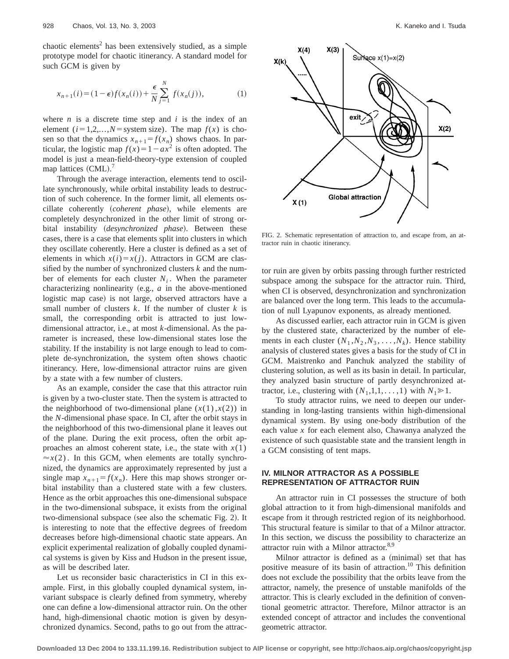chaotic elements<sup>2</sup> has been extensively studied, as a simple prototype model for chaotic itinerancy. A standard model for such GCM is given by

$$
x_{n+1}(i) = (1 - \epsilon)f(x_n(i)) + \frac{\epsilon}{N} \sum_{j=1}^{N} f(x_n(j)),
$$
 (1)

where  $n$  is a discrete time step and  $i$  is the index of an element  $(i=1,2,...,N=$  system size). The map  $f(x)$  is chosen so that the dynamics  $x_{n+1} = f(x_n)$  shows chaos. In particular, the logistic map  $f(x)=1-ax^2$  is often adopted. The model is just a mean-field-theory-type extension of coupled map lattices  $(CML).$ <sup>7</sup>

Through the average interaction, elements tend to oscillate synchronously, while orbital instability leads to destruction of such coherence. In the former limit, all elements oscillate coherently (*coherent phase*), while elements are completely desynchronized in the other limit of strong orbital instability (desynchronized phase). Between these cases, there is a case that elements split into clusters in which they oscillate coherently. Here a cluster is defined as a set of elements in which  $x(i) = x(i)$ . Attractors in GCM are classified by the number of synchronized clusters *k* and the number of elements for each cluster  $N_i$ . When the parameter characterizing nonlinearity  $(e.g., a$  in the above-mentioned logistic map case) is not large, observed attractors have a small number of clusters *k*. If the number of cluster *k* is small, the corresponding orbit is attracted to just lowdimensional attractor, i.e., at most *k*-dimensional. As the parameter is increased, these low-dimensional states lose the stability. If the instability is not large enough to lead to complete de-synchronization, the system often shows chaotic itinerancy. Here, low-dimensional attractor ruins are given by a state with a few number of clusters.

As an example, consider the case that this attractor ruin is given by a two-cluster state. Then the system is attracted to the neighborhood of two-dimensional plane  $(x(1),x(2))$  in the *N*-dimensional phase space. In CI, after the orbit stays in the neighborhood of this two-dimensional plane it leaves out of the plane. During the exit process, often the orbit approaches an almost coherent state, i.e., the state with  $x(1)$  $\approx$ x(2). In this GCM, when elements are totally synchronized, the dynamics are approximately represented by just a single map  $x_{n+1} = f(x_n)$ . Here this map shows stronger orbital instability than a clustered state with a few clusters. Hence as the orbit approaches this one-dimensional subspace in the two-dimensional subspace, it exists from the original two-dimensional subspace (see also the schematic Fig. 2). It is interesting to note that the effective degrees of freedom decreases before high-dimensional chaotic state appears. An explicit experimental realization of globally coupled dynamical systems is given by Kiss and Hudson in the present issue, as will be described later.

Let us reconsider basic characteristics in CI in this example. First, in this globally coupled dynamical system, invariant subspace is clearly defined from symmetry, whereby one can define a low-dimensional attractor ruin. On the other hand, high-dimensional chaotic motion is given by desynchronized dynamics. Second, paths to go out from the attrac-



FIG. 2. Schematic representation of attraction to, and escape from, an attractor ruin in chaotic itinerancy.

tor ruin are given by orbits passing through further restricted subspace among the subspace for the attractor ruin. Third, when CI is observed, desynchronization and synchronization are balanced over the long term. This leads to the accumulation of null Lyapunov exponents, as already mentioned.

As discussed earlier, each attractor ruin in GCM is given by the clustered state, characterized by the number of elements in each cluster  $(N_1, N_2, N_3, \ldots, N_k)$ . Hence stability analysis of clustered states gives a basis for the study of CI in GCM. Maistrenko and Panchuk analyzed the stability of clustering solution, as well as its basin in detail. In particular, they analyzed basin structure of partly desynchronized attractor, i.e., clustering with  $(N_1,1,1,\ldots,1)$  with  $N_1 \ge 1$ .

To study attractor ruins, we need to deepen our understanding in long-lasting transients within high-dimensional dynamical system. By using one-body distribution of the each value *x* for each element also, Chawanya analyzed the existence of such quasistable state and the transient length in a GCM consisting of tent maps.

# **IV. MILNOR ATTRACTOR AS A POSSIBLE REPRESENTATION OF ATTRACTOR RUIN**

An attractor ruin in CI possesses the structure of both global attraction to it from high-dimensional manifolds and escape from it through restricted region of its neighborhood. This structural feature is similar to that of a Milnor attractor. In this section, we discuss the possibility to characterize an attractor ruin with a Milnor attractor.<sup>8,9</sup>

Milnor attractor is defined as a (minimal) set that has positive measure of its basin of attraction.<sup>10</sup> This definition does not exclude the possibility that the orbits leave from the attractor, namely, the presence of unstable manifolds of the attractor. This is clearly excluded in the definition of conventional geometric attractor. Therefore, Milnor attractor is an extended concept of attractor and includes the conventional geometric attractor.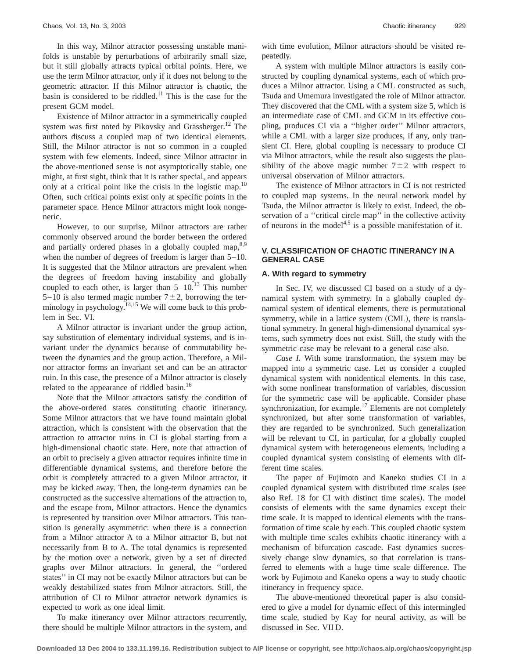In this way, Milnor attractor possessing unstable manifolds is unstable by perturbations of arbitrarily small size, but it still globally attracts typical orbital points. Here, we use the term Milnor attractor, only if it does not belong to the geometric attractor. If this Milnor attractor is chaotic, the basin is considered to be riddled.<sup>11</sup> This is the case for the present GCM model.

Existence of Milnor attractor in a symmetrically coupled system was first noted by Pikovsky and Grassberger.<sup>12</sup> The authors discuss a coupled map of two identical elements. Still, the Milnor attractor is not so common in a coupled system with few elements. Indeed, since Milnor attractor in the above-mentioned sense is not asymptotically stable, one might, at first sight, think that it is rather special, and appears only at a critical point like the crisis in the logistic map.<sup>10</sup> Often, such critical points exist only at specific points in the parameter space. Hence Milnor attractors might look nongeneric.

However, to our surprise, Milnor attractors are rather commonly observed around the border between the ordered and partially ordered phases in a globally coupled map,<sup>8,9</sup> when the number of degrees of freedom is larger than 5–10. It is suggested that the Milnor attractors are prevalent when the degrees of freedom having instability and globally coupled to each other, is larger than  $5-10^{13}$  This number 5–10 is also termed magic number  $7\pm 2$ , borrowing the terminology in psychology.<sup> $14,15$ </sup> We will come back to this problem in Sec. VI.

A Milnor attractor is invariant under the group action, say substitution of elementary individual systems, and is invariant under the dynamics because of commutability between the dynamics and the group action. Therefore, a Milnor attractor forms an invariant set and can be an attractor ruin. In this case, the presence of a Milnor attractor is closely related to the appearance of riddled basin.<sup>16</sup>

Note that the Milnor attractors satisfy the condition of the above-ordered states constituting chaotic itinerancy. Some Milnor attractors that we have found maintain global attraction, which is consistent with the observation that the attraction to attractor ruins in CI is global starting from a high-dimensional chaotic state. Here, note that attraction of an orbit to precisely a given attractor requires infinite time in differentiable dynamical systems, and therefore before the orbit is completely attracted to a given Milnor attractor, it may be kicked away. Then, the long-term dynamics can be constructed as the successive alternations of the attraction to, and the escape from, Milnor attractors. Hence the dynamics is represented by transition over Milnor attractors. This transition is generally asymmetric: when there is a connection from a Milnor attractor A to a Milnor attractor B, but not necessarily from B to A. The total dynamics is represented by the motion over a network, given by a set of directed graphs over Milnor attractors. In general, the ''ordered states'' in CI may not be exactly Milnor attractors but can be weakly destabilized states from Milnor attractors. Still, the attribution of CI to Milnor attractor network dynamics is expected to work as one ideal limit.

To make itinerancy over Milnor attractors recurrently, there should be multiple Milnor attractors in the system, and with time evolution, Milnor attractors should be visited repeatedly.

A system with multiple Milnor attractors is easily constructed by coupling dynamical systems, each of which produces a Milnor attractor. Using a CML constructed as such, Tsuda and Umemura investigated the role of Milnor attractor. They discovered that the CML with a system size 5, which is an intermediate case of CML and GCM in its effective coupling, produces CI via a ''higher order'' Milnor attractors, while a CML with a larger size produces, if any, only transient CI. Here, global coupling is necessary to produce CI via Milnor attractors, while the result also suggests the plausibility of the above magic number  $7\pm 2$  with respect to universal observation of Milnor attractors.

The existence of Milnor attractors in CI is not restricted to coupled map systems. In the neural network model by Tsuda, the Milnor attractor is likely to exist. Indeed, the observation of a ''critical circle map'' in the collective activity of neurons in the model<sup>4,5</sup> is a possible manifestation of it.

# **V. CLASSIFICATION OF CHAOTIC ITINERANCY IN A GENERAL CASE**

## **A. With regard to symmetry**

In Sec. IV, we discussed CI based on a study of a dynamical system with symmetry. In a globally coupled dynamical system of identical elements, there is permutational symmetry, while in a lattice system  $(CML)$ , there is translational symmetry. In general high-dimensional dynamical systems, such symmetry does not exist. Still, the study with the symmetric case may be relevant to a general case also.

*Case I.* With some transformation, the system may be mapped into a symmetric case. Let us consider a coupled dynamical system with nonidentical elements. In this case, with some nonlinear transformation of variables, discussion for the symmetric case will be applicable. Consider phase synchronization, for example.<sup>17</sup> Elements are not completely synchronized, but after some transformation of variables, they are regarded to be synchronized. Such generalization will be relevant to CI, in particular, for a globally coupled dynamical system with heterogeneous elements, including a coupled dynamical system consisting of elements with different time scales.

The paper of Fujimoto and Kaneko studies CI in a coupled dynamical system with distributed time scales (see also Ref. 18 for CI with distinct time scales). The model consists of elements with the same dynamics except their time scale. It is mapped to identical elements with the transformation of time scale by each. This coupled chaotic system with multiple time scales exhibits chaotic itinerancy with a mechanism of bifurcation cascade. Fast dynamics successively change slow dynamics, so that correlation is transferred to elements with a huge time scale difference. The work by Fujimoto and Kaneko opens a way to study chaotic itinerancy in frequency space.

The above-mentioned theoretical paper is also considered to give a model for dynamic effect of this intermingled time scale, studied by Kay for neural activity, as will be discussed in Sec. VII D.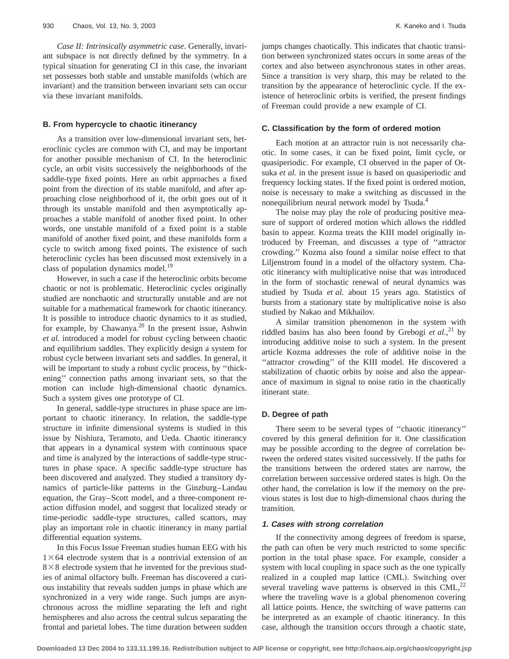*Case II: Intrinsically asymmetric case.* Generally, invariant subspace is not directly defined by the symmetry. In a typical situation for generating CI in this case, the invariant set possesses both stable and unstable manifolds (which are invariant) and the transition between invariant sets can occur via these invariant manifolds.

#### **B. From hypercycle to chaotic itinerancy**

As a transition over low-dimensional invariant sets, heteroclinic cycles are common with CI, and may be important for another possible mechanism of CI. In the heteroclinic cycle, an orbit visits successively the neighborhoods of the saddle-type fixed points. Here an orbit approaches a fixed point from the direction of its stable manifold, and after approaching close neighborhood of it, the orbit goes out of it through its unstable manifold and then asymptotically approaches a stable manifold of another fixed point. In other words, one unstable manifold of a fixed point is a stable manifold of another fixed point, and these manifolds form a cycle to switch among fixed points. The existence of such heteroclinic cycles has been discussed most extensively in a class of population dynamics model.<sup>19</sup>

However, in such a case if the heteroclinic orbits become chaotic or not is problematic. Heteroclinic cycles originally studied are nonchaotic and structurally unstable and are not suitable for a mathematical framework for chaotic itinerancy. It is possible to introduce chaotic dynamics to it as studied, for example, by Chawanya.<sup>20</sup> In the present issue, Ashwin *et al.* introduced a model for robust cycling between chaotic and equilibrium saddles. They explicitly design a system for robust cycle between invariant sets and saddles. In general, it will be important to study a robust cyclic process, by "thickening'' connection paths among invariant sets, so that the motion can include high-dimensional chaotic dynamics. Such a system gives one prototype of CI.

In general, saddle-type structures in phase space are important to chaotic itinerancy. In relation, the saddle-type structure in infinite dimensional systems is studied in this issue by Nishiura, Teramoto, and Ueda. Chaotic itinerancy that appears in a dynamical system with continuous space and time is analyzed by the interactions of saddle-type structures in phase space. A specific saddle-type structure has been discovered and analyzed. They studied a transitory dynamics of particle-like patterns in the Ginzburg–Landau equation, the Gray–Scott model, and a three-component reaction diffusion model, and suggest that localized steady or time-periodic saddle-type structures, called scattors, may play an important role in chaotic itinerancy in many partial differential equation systems.

In this Focus Issue Freeman studies human EEG with his  $1\times64$  electrode system that is a nontrivial extension of an  $8\times8$  electrode system that he invented for the previous studies of animal olfactory bulb. Freeman has discovered a curious instability that reveals sudden jumps in phase which are synchronized in a very wide range. Such jumps are asynchronous across the midline separating the left and right hemispheres and also across the central sulcus separating the frontal and parietal lobes. The time duration between sudden jumps changes chaotically. This indicates that chaotic transition between synchronized states occurs in some areas of the cortex and also between asynchronous states in other areas. Since a transition is very sharp, this may be related to the transition by the appearance of heteroclinic cycle. If the existence of heteroclinic orbits is verified, the present findings of Freeman could provide a new example of CI.

### **C. Classification by the form of ordered motion**

Each motion at an attractor ruin is not necessarily chaotic. In some cases, it can be fixed point, limit cycle, or quasiperiodic. For example, CI observed in the paper of Otsuka *et al.* in the present issue is based on quasiperiodic and frequency locking states. If the fixed point is ordered motion, noise is necessary to make a switching as discussed in the nonequilibrium neural network model by Tsuda.4

The noise may play the role of producing positive measure of support of ordered motion which allows the riddled basin to appear. Kozma treats the KIII model originally introduced by Freeman, and discusses a type of ''attractor crowding.'' Kozma also found a similar noise effect to that Liljenstrom found in a model of the olfactory system. Chaotic itinerancy with multiplicative noise that was introduced in the form of stochastic renewal of neural dynamics was studied by Tsuda *et al.* about 15 years ago. Statistics of bursts from a stationary state by multiplicative noise is also studied by Nakao and Mikhailov.

A similar transition phenomenon in the system with riddled basins has also been found by Grebogi *et al.*, <sup>21</sup> by introducing additive noise to such a system. In the present article Kozma addresses the role of additive noise in the ''attractor crowding'' of the KIII model. He discovered a stabilization of chaotic orbits by noise and also the appearance of maximum in signal to noise ratio in the chaotically itinerant state.

#### **D. Degree of path**

There seem to be several types of ''chaotic itinerancy'' covered by this general definition for it. One classification may be possible according to the degree of correlation between the ordered states visited successively. If the paths for the transitions between the ordered states are narrow, the correlation between successive ordered states is high. On the other hand, the correlation is low if the memory on the previous states is lost due to high-dimensional chaos during the transition.

#### **1. Cases with strong correlation**

If the connectivity among degrees of freedom is sparse, the path can often be very much restricted to some specific portion in the total phase space. For example, consider a system with local coupling in space such as the one typically realized in a coupled map lattice (CML). Switching over several traveling wave patterns is observed in this  $CML<sub>1</sub><sup>22</sup>$ where the traveling wave is a global phenomenon covering all lattice points. Hence, the switching of wave patterns can be interpreted as an example of chaotic itinerancy. In this case, although the transition occurs through a chaotic state,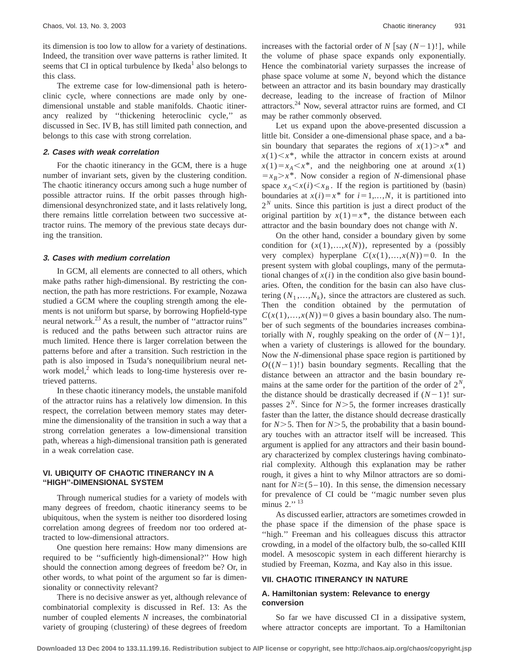its dimension is too low to allow for a variety of destinations. Indeed, the transition over wave patterns is rather limited. It seems that CI in optical turbulence by Ikeda<sup>1</sup> also belongs to this class.

The extreme case for low-dimensional path is heteroclinic cycle, where connections are made only by onedimensional unstable and stable manifolds. Chaotic itinerancy realized by ''thickening heteroclinic cycle,'' as discussed in Sec. IV B, has still limited path connection, and belongs to this case with strong correlation.

## **2. Cases with weak correlation**

For the chaotic itinerancy in the GCM, there is a huge number of invariant sets, given by the clustering condition. The chaotic itinerancy occurs among such a huge number of possible attractor ruins. If the orbit passes through highdimensional desynchronized state, and it lasts relatively long, there remains little correlation between two successive attractor ruins. The memory of the previous state decays during the transition.

#### **3. Cases with medium correlation**

In GCM, all elements are connected to all others, which make paths rather high-dimensional. By restricting the connection, the path has more restrictions. For example, Nozawa studied a GCM where the coupling strength among the elements is not uniform but sparse, by borrowing Hopfield-type neural network.23 As a result, the number of ''attractor ruins'' is reduced and the paths between such attractor ruins are much limited. Hence there is larger correlation between the patterns before and after a transition. Such restriction in the path is also imposed in Tsuda's nonequilibrium neural network model, $^2$  which leads to long-time hysteresis over retrieved patterns.

In these chaotic itinerancy models, the unstable manifold of the attractor ruins has a relatively low dimension. In this respect, the correlation between memory states may determine the dimensionality of the transition in such a way that a strong correlation generates a low-dimensional transition path, whereas a high-dimensional transition path is generated in a weak correlation case.

# **VI. UBIQUITY OF CHAOTIC ITINERANCY IN A ''HIGH''-DIMENSIONAL SYSTEM**

Through numerical studies for a variety of models with many degrees of freedom, chaotic itinerancy seems to be ubiquitous, when the system is neither too disordered losing correlation among degrees of freedom nor too ordered attracted to low-dimensional attractors.

One question here remains: How many dimensions are required to be ''sufficiently high-dimensional?'' How high should the connection among degrees of freedom be? Or, in other words, to what point of the argument so far is dimensionality or connectivity relevant?

There is no decisive answer as yet, although relevance of combinatorial complexity is discussed in Ref. 13: As the number of coupled elements *N* increases, the combinatorial variety of grouping (clustering) of these degrees of freedom increases with the factorial order of  $N$  [say  $(N-1)!$ ], while the volume of phase space expands only exponentially. Hence the combinatorial variety surpasses the increase of phase space volume at some *N*, beyond which the distance between an attractor and its basin boundary may drastically decrease, leading to the increase of fraction of Milnor attractors.24 Now, several attractor ruins are formed, and CI may be rather commonly observed.

Let us expand upon the above-presented discussion a little bit. Consider a one-dimensional phase space, and a basin boundary that separates the regions of  $x(1) > x^*$  and  $x(1) \leq x^*$ , while the attractor in concern exists at around  $x(1)=x_A\leq x^*$ , and the neighboring one at around  $x(1)$  $=x_B > x^*$ . Now consider a region of *N*-dimensional phase space  $x_A \leq x(i) \leq x_B$ . If the region is partitioned by (basin) boundaries at  $x(i) = x^*$  for  $i = 1,...,N$ , it is partitioned into  $2<sup>N</sup>$  units. Since this partition is just a direct product of the original partition by  $x(1)=x^*$ , the distance between each attractor and the basin boundary does not change with *N*.

On the other hand, consider a boundary given by some condition for  $(x(1),...,x(N))$ , represented by a (possibly very complex) hyperplane  $C(x(1),...,x(N))=0$ . In the present system with global couplings, many of the permutational changes of  $x(i)$  in the condition also give basin boundaries. Often, the condition for the basin can also have clustering  $(N_1,...,N_k)$ , since the attractors are clustered as such. Then the condition obtained by the permutation of  $C(x(1),...,x(N))=0$  gives a basin boundary also. The number of such segments of the boundaries increases combinatorially with *N*, roughly speaking on the order of  $(N-1)!$ , when a variety of clusterings is allowed for the boundary. Now the *N*-dimensional phase space region is partitioned by  $O((N-1)!)$  basin boundary segments. Recalling that the distance between an attractor and the basin boundary remains at the same order for the partition of the order of  $2^N$ , the distance should be drastically decreased if  $(N-1)!$  surpasses  $2^N$ . Since for  $N>5$ , the former increases drastically faster than the latter, the distance should decrease drastically for  $N>5$ . Then for  $N>5$ , the probability that a basin boundary touches with an attractor itself will be increased. This argument is applied for any attractors and their basin boundary characterized by complex clusterings having combinatorial complexity. Although this explanation may be rather rough, it gives a hint to why Milnor attractors are so dominant for  $N \ge (5 - 10)$ . In this sense, the dimension necessary for prevalence of CI could be ''magic number seven plus minus 2." <sup>13</sup>

As discussed earlier, attractors are sometimes crowded in the phase space if the dimension of the phase space is ''high.'' Freeman and his colleagues discuss this attractor crowding, in a model of the olfactory bulb, the so-called KIII model. A mesoscopic system in each different hierarchy is studied by Freeman, Kozma, and Kay also in this issue.

#### **VII. CHAOTIC ITINERANCY IN NATURE**

## **A. Hamiltonian system: Relevance to energy conversion**

So far we have discussed CI in a dissipative system, where attractor concepts are important. To a Hamiltonian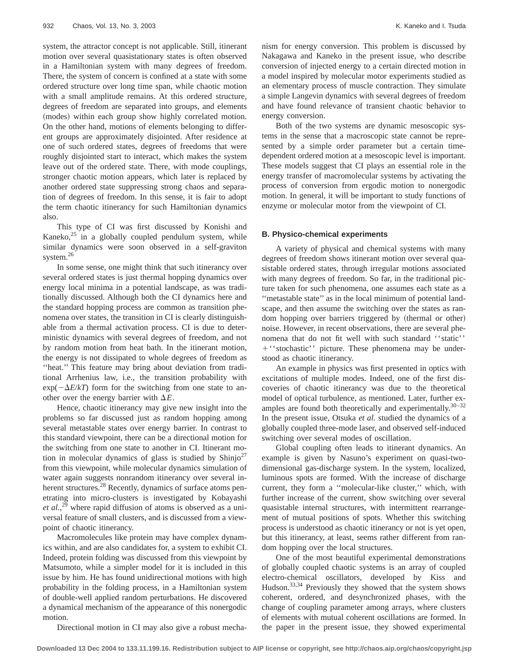system, the attractor concept is not applicable. Still, itinerant motion over several quasistationary states is often observed in a Hamiltonian system with many degrees of freedom. There, the system of concern is confined at a state with some ordered structure over long time span, while chaotic motion with a small amplitude remains. At this ordered structure, degrees of freedom are separated into groups, and elements (modes) within each group show highly correlated motion. On the other hand, motions of elements belonging to different groups are approximately disjointed. After residence at one of such ordered states, degrees of freedoms that were roughly disjointed start to interact, which makes the system leave out of the ordered state. There, with mode couplings, stronger chaotic motion appears, which later is replaced by another ordered state suppressing strong chaos and separation of degrees of freedom. In this sense, it is fair to adopt the term chaotic itinerancy for such Hamiltonian dynamics also.

This type of CI was first discussed by Konishi and Kaneko, $25$  in a globally coupled pendulum system, while similar dynamics were soon observed in a self-graviton system.<sup>26</sup>

In some sense, one might think that such itinerancy over several ordered states is just thermal hopping dynamics over energy local minima in a potential landscape, as was traditionally discussed. Although both the CI dynamics here and the standard hopping process are common as transition phenomena over states, the transition in CI is clearly distinguishable from a thermal activation process. CI is due to deterministic dynamics with several degrees of freedom, and not by random motion from heat bath. In the itinerant motion, the energy is not dissipated to whole degrees of freedom as "heat." This feature may bring about deviation from traditional Arrhenius law, i.e., the transition probability with  $\exp(-\Delta E/kT)$  form for the switching from one state to another over the energy barrier with  $\Delta E$ .

Hence, chaotic itinerancy may give new insight into the problems so far discussed just as random hopping among several metastable states over energy barrier. In contrast to this standard viewpoint, there can be a directional motion for the switching from one state to another in CI. Itinerant motion in molecular dynamics of glass is studied by  $\text{Shinjo}^{27}$ from this viewpoint, while molecular dynamics simulation of water again suggests nonrandom itinerancy over several inherent structures.<sup>28</sup> Recently, dynamics of surface atoms penetrating into micro-clusters is investigated by Kobayashi *et al.*, <sup>29</sup> where rapid diffusion of atoms is observed as a universal feature of small clusters, and is discussed from a viewpoint of chaotic itinerancy.

Macromolecules like protein may have complex dynamics within, and are also candidates for, a system to exhibit CI. Indeed, protein folding was discussed from this viewpoint by Matsumoto, while a simpler model for it is included in this issue by him. He has found unidirectional motions with high probability in the folding process, in a Hamiltonian system of double-well applied random perturbations. He discovered a dynamical mechanism of the appearance of this nonergodic motion.

Directional motion in CI may also give a robust mecha-

nism for energy conversion. This problem is discussed by Nakagawa and Kaneko in the present issue, who describe conversion of injected energy to a certain directed motion in a model inspired by molecular motor experiments studied as an elementary process of muscle contraction. They simulate a simple Langevin dynamics with several degrees of freedom and have found relevance of transient chaotic behavior to energy conversion.

Both of the two systems are dynamic mesoscopic systems in the sense that a macroscopic state cannot be represented by a simple order parameter but a certain timedependent ordered motion at a mesoscopic level is important. These models suggest that CI plays an essential role in the energy transfer of macromolecular systems by activating the process of conversion from ergodic motion to nonergodic motion. In general, it will be important to study functions of enzyme or molecular motor from the viewpoint of CI.

#### **B. Physico-chemical experiments**

A variety of physical and chemical systems with many degrees of freedom shows itinerant motion over several quasistable ordered states, through irregular motions associated with many degrees of freedom. So far, in the traditional picture taken for such phenomena, one assumes each state as a ''metastable state'' as in the local minimum of potential landscape, and then assume the switching over the states as random hopping over barriers triggered by (thermal or other) noise. However, in recent observations, there are several phenomena that do not fit well with such standard ''static'' 1''stochastic'' picture. These phenomena may be understood as chaotic itinerancy.

An example in physics was first presented in optics with excitations of multiple modes. Indeed, one of the first discoveries of chaotic itinerancy was due to the theoretical model of optical turbulence, as mentioned. Later, further examples are found both theoretically and experimentally.  $30-32$ In the present issue, Otsuka *et al.* studied the dynamics of a globally coupled three-mode laser, and observed self-induced switching over several modes of oscillation.

Global coupling often leads to itinerant dynamics. An example is given by Nasuno's experiment on quasi-twodimensional gas-discharge system. In the system, localized, luminous spots are formed. With the increase of discharge current, they form a ''molecular-like cluster,'' which, with further increase of the current, show switching over several quasistable internal structures, with intermittent rearrangement of mutual positions of spots. Whether this switching process is understood as chaotic itinerancy or not is yet open, but this itinerancy, at least, seems rather different from random hopping over the local structures.

One of the most beautiful experimental demonstrations of globally coupled chaotic systems is an array of coupled electro-chemical oscillators, developed by Kiss and Hudson.33,34 Previously they showed that the system shows coherent, ordered, and desynchronized phases, with the change of coupling parameter among arrays, where clusters of elements with mutual coherent oscillations are formed. In the paper in the present issue, they showed experimental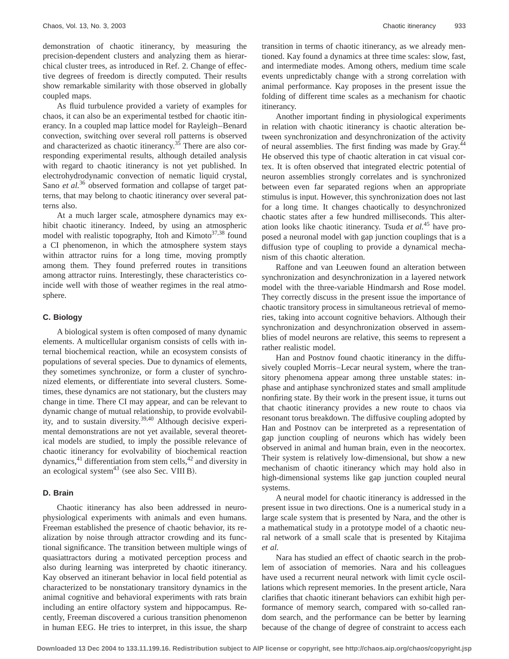demonstration of chaotic itinerancy, by measuring the precision-dependent clusters and analyzing them as hierarchical cluster trees, as introduced in Ref. 2. Change of effective degrees of freedom is directly computed. Their results show remarkable similarity with those observed in globally coupled maps.

As fluid turbulence provided a variety of examples for chaos, it can also be an experimental testbed for chaotic itinerancy. In a coupled map lattice model for Rayleigh–Benard convection, switching over several roll patterns is observed and characterized as chaotic itinerancy.<sup>35</sup> There are also corresponding experimental results, although detailed analysis with regard to chaotic itinerancy is not yet published. In electrohydrodynamic convection of nematic liquid crystal, Sano *et al.*<sup>36</sup> observed formation and collapse of target patterns, that may belong to chaotic itinerancy over several patterns also.

At a much larger scale, atmosphere dynamics may exhibit chaotic itinerancy. Indeed, by using an atmospheric model with realistic topography, Itoh and Kimoto $37,38$  found a CI phenomenon, in which the atmosphere system stays within attractor ruins for a long time, moving promptly among them. They found preferred routes in transitions among attractor ruins. Interestingly, these characteristics coincide well with those of weather regimes in the real atmosphere.

#### **C. Biology**

A biological system is often composed of many dynamic elements. A multicellular organism consists of cells with internal biochemical reaction, while an ecosystem consists of populations of several species. Due to dynamics of elements, they sometimes synchronize, or form a cluster of synchronized elements, or differentiate into several clusters. Sometimes, these dynamics are not stationary, but the clusters may change in time. There CI may appear, and can be relevant to dynamic change of mutual relationship, to provide evolvability, and to sustain diversity.<sup>39,40</sup> Although decisive experimental demonstrations are not yet available, several theoretical models are studied, to imply the possible relevance of chaotic itinerancy for evolvability of biochemical reaction dynamics, $41$  differentiation from stem cells, $42$  and diversity in an ecological system $43$  (see also Sec. VIII B).

## **D. Brain**

Chaotic itinerancy has also been addressed in neurophysiological experiments with animals and even humans. Freeman established the presence of chaotic behavior, its realization by noise through attractor crowding and its functional significance. The transition between multiple wings of quasiattractors during a motivated perception process and also during learning was interpreted by chaotic itinerancy. Kay observed an itinerant behavior in local field potential as characterized to be nonstationary transitory dynamics in the animal cognitive and behavioral experiments with rats brain including an entire olfactory system and hippocampus. Recently, Freeman discovered a curious transition phenomenon in human EEG. He tries to interpret, in this issue, the sharp transition in terms of chaotic itinerancy, as we already mentioned. Kay found a dynamics at three time scales: slow, fast, and intermediate modes. Among others, medium time scale events unpredictably change with a strong correlation with animal performance. Kay proposes in the present issue the folding of different time scales as a mechanism for chaotic itinerancy.

Another important finding in physiological experiments in relation with chaotic itinerancy is chaotic alteration between synchronization and desynchronization of the activity of neural assemblies. The first finding was made by Gray.<sup>44</sup> He observed this type of chaotic alteration in cat visual cortex. It is often observed that integrated electric potential of neuron assemblies strongly correlates and is synchronized between even far separated regions when an appropriate stimulus is input. However, this synchronization does not last for a long time. It changes chaotically to desynchronized chaotic states after a few hundred milliseconds. This alteration looks like chaotic itinerancy. Tsuda *et al.*<sup>45</sup> have proposed a neuronal model with gap junction couplings that is a diffusion type of coupling to provide a dynamical mechanism of this chaotic alteration.

Raffone and van Leeuwen found an alteration between synchronization and desynchronization in a layered network model with the three-variable Hindmarsh and Rose model. They correctly discuss in the present issue the importance of chaotic transitory process in simultaneous retrieval of memories, taking into account cognitive behaviors. Although their synchronization and desynchronization observed in assemblies of model neurons are relative, this seems to represent a rather realistic model.

Han and Postnov found chaotic itinerancy in the diffusively coupled Morris–Lecar neural system, where the transitory phenomena appear among three unstable states: inphase and antiphase synchronized states and small amplitude nonfiring state. By their work in the present issue, it turns out that chaotic itinerancy provides a new route to chaos via resonant torus breakdown. The diffusive coupling adopted by Han and Postnov can be interpreted as a representation of gap junction coupling of neurons which has widely been observed in animal and human brain, even in the neocortex. Their system is relatively low-dimensional, but show a new mechanism of chaotic itinerancy which may hold also in high-dimensional systems like gap junction coupled neural systems.

A neural model for chaotic itinerancy is addressed in the present issue in two directions. One is a numerical study in a large scale system that is presented by Nara, and the other is a mathematical study in a prototype model of a chaotic neural network of a small scale that is presented by Kitajima *et al.*

Nara has studied an effect of chaotic search in the problem of association of memories. Nara and his colleagues have used a recurrent neural network with limit cycle oscillations which represent memories. In the present article, Nara clarifies that chaotic itinerant behaviors can exhibit high performance of memory search, compared with so-called random search, and the performance can be better by learning because of the change of degree of constraint to access each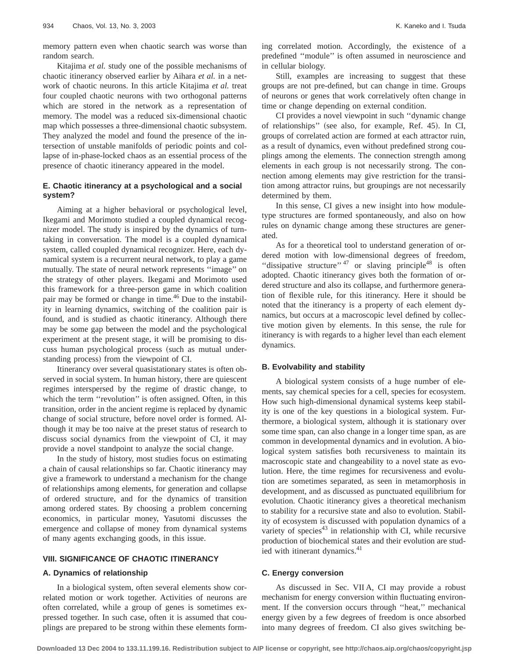memory pattern even when chaotic search was worse than random search.

Kitajima *et al.* study one of the possible mechanisms of chaotic itinerancy observed earlier by Aihara *et al.* in a network of chaotic neurons. In this article Kitajima *et al.* treat four coupled chaotic neurons with two orthogonal patterns which are stored in the network as a representation of memory. The model was a reduced six-dimensional chaotic map which possesses a three-dimensional chaotic subsystem. They analyzed the model and found the presence of the intersection of unstable manifolds of periodic points and collapse of in-phase-locked chaos as an essential process of the presence of chaotic itinerancy appeared in the model.

## **E. Chaotic itinerancy at a psychological and a social system?**

Aiming at a higher behavioral or psychological level, Ikegami and Morimoto studied a coupled dynamical recognizer model. The study is inspired by the dynamics of turntaking in conversation. The model is a coupled dynamical system, called coupled dynamical recognizer. Here, each dynamical system is a recurrent neural network, to play a game mutually. The state of neural network represents ''image'' on the strategy of other players. Ikegami and Morimoto used this framework for a three-person game in which coalition pair may be formed or change in time.<sup>46</sup> Due to the instability in learning dynamics, switching of the coalition pair is found, and is studied as chaotic itinerancy. Although there may be some gap between the model and the psychological experiment at the present stage, it will be promising to discuss human psychological process (such as mutual understanding process) from the viewpoint of CI.

Itinerancy over several quasistationary states is often observed in social system. In human history, there are quiescent regimes interspersed by the regime of drastic change, to which the term "revolution" is often assigned. Often, in this transition, order in the ancient regime is replaced by dynamic change of social structure, before novel order is formed. Although it may be too naive at the preset status of research to discuss social dynamics from the viewpoint of CI, it may provide a novel standpoint to analyze the social change.

In the study of history, most studies focus on estimating a chain of causal relationships so far. Chaotic itinerancy may give a framework to understand a mechanism for the change of relationships among elements, for generation and collapse of ordered structure, and for the dynamics of transition among ordered states. By choosing a problem concerning economics, in particular money, Yasutomi discusses the emergence and collapse of money from dynamical systems of many agents exchanging goods, in this issue.

#### **VIII. SIGNIFICANCE OF CHAOTIC ITINERANCY**

#### **A. Dynamics of relationship**

In a biological system, often several elements show correlated motion or work together. Activities of neurons are often correlated, while a group of genes is sometimes expressed together. In such case, often it is assumed that couplings are prepared to be strong within these elements form-

Still, examples are increasing to suggest that these groups are not pre-defined, but can change in time. Groups of neurons or genes that work correlatively often change in time or change depending on external condition.

in cellular biology.

CI provides a novel viewpoint in such ''dynamic change of relationships" (see also, for example, Ref. 45). In CI, groups of correlated action are formed at each attractor ruin, as a result of dynamics, even without predefined strong couplings among the elements. The connection strength among elements in each group is not necessarily strong. The connection among elements may give restriction for the transition among attractor ruins, but groupings are not necessarily determined by them.

In this sense, CI gives a new insight into how moduletype structures are formed spontaneously, and also on how rules on dynamic change among these structures are generated.

As for a theoretical tool to understand generation of ordered motion with low-dimensional degrees of freedom, "dissipative structure"  $47$  or slaving principle<sup>48</sup> is often adopted. Chaotic itinerancy gives both the formation of ordered structure and also its collapse, and furthermore generation of flexible rule, for this itinerancy. Here it should be noted that the itinerancy is a property of each element dynamics, but occurs at a macroscopic level defined by collective motion given by elements. In this sense, the rule for itinerancy is with regards to a higher level than each element dynamics.

#### **B. Evolvability and stability**

A biological system consists of a huge number of elements, say chemical species for a cell, species for ecosystem. How such high-dimensional dynamical systems keep stability is one of the key questions in a biological system. Furthermore, a biological system, although it is stationary over some time span, can also change in a longer time span, as are common in developmental dynamics and in evolution. A biological system satisfies both recursiveness to maintain its macroscopic state and changeability to a novel state as evolution. Here, the time regimes for recursiveness and evolution are sometimes separated, as seen in metamorphosis in development, and as discussed as punctuated equilibrium for evolution. Chaotic itinerancy gives a theoretical mechanism to stability for a recursive state and also to evolution. Stability of ecosystem is discussed with population dynamics of a variety of species $43$  in relationship with CI, while recursive production of biochemical states and their evolution are studied with itinerant dynamics.<sup>41</sup>

#### **C. Energy conversion**

As discussed in Sec. VII A, CI may provide a robust mechanism for energy conversion within fluctuating environment. If the conversion occurs through ''heat,'' mechanical energy given by a few degrees of freedom is once absorbed into many degrees of freedom. CI also gives switching be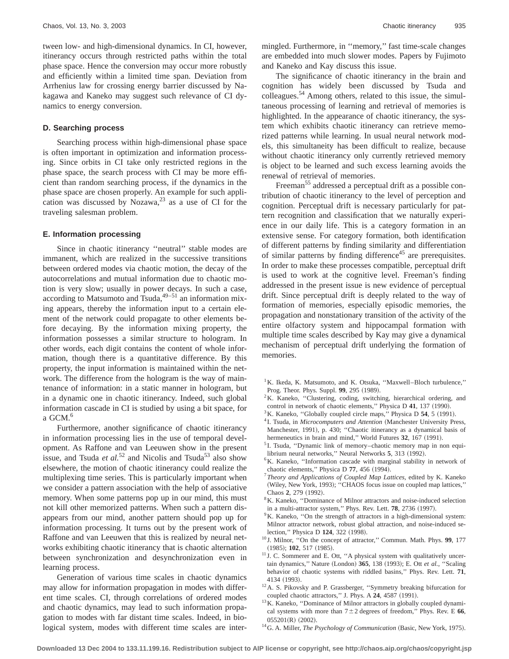tween low- and high-dimensional dynamics. In CI, however, itinerancy occurs through restricted paths within the total phase space. Hence the conversion may occur more robustly and efficiently within a limited time span. Deviation from Arrhenius law for crossing energy barrier discussed by Nakagawa and Kaneko may suggest such relevance of CI dynamics to energy conversion.

### **D. Searching process**

Searching process within high-dimensional phase space is often important in optimization and information processing. Since orbits in CI take only restricted regions in the phase space, the search process with CI may be more efficient than random searching process, if the dynamics in the phase space are chosen properly. An example for such application was discussed by  $Nozawa<sup>23</sup>$  as a use of CI for the traveling salesman problem.

#### **E. Information processing**

Since in chaotic itinerancy ''neutral'' stable modes are immanent, which are realized in the successive transitions between ordered modes via chaotic motion, the decay of the autocorrelations and mutual information due to chaotic motion is very slow; usually in power decays. In such a case, according to Matsumoto and Tsuda,<sup>49-51</sup> an information mixing appears, thereby the information input to a certain element of the network could propagate to other elements before decaying. By the information mixing property, the information possesses a similar structure to hologram. In other words, each digit contains the content of whole information, though there is a quantitative difference. By this property, the input information is maintained within the network. The difference from the hologram is the way of maintenance of information: in a static manner in hologram, but in a dynamic one in chaotic itinerancy. Indeed, such global information cascade in CI is studied by using a bit space, for a GCM.<sup>6</sup>

Furthermore, another significance of chaotic itinerancy in information processing lies in the use of temporal development. As Raffone and van Leeuwen show in the present issue, and Tsuda *et al.*<sup>52</sup> and Nicolis and Tsuda<sup>53</sup> also show elsewhere, the motion of chaotic itinerancy could realize the multiplexing time series. This is particularly important when we consider a pattern association with the help of associative memory. When some patterns pop up in our mind, this must not kill other memorized patterns. When such a pattern disappears from our mind, another pattern should pop up for information processing. It turns out by the present work of Raffone and van Leeuwen that this is realized by neural networks exhibiting chaotic itinerancy that is chaotic alternation between synchronization and desynchronization even in learning process.

Generation of various time scales in chaotic dynamics may allow for information propagation in modes with different time scales. CI, through correlations of ordered modes and chaotic dynamics, may lead to such information propagation to modes with far distant time scales. Indeed, in biological system, modes with different time scales are intermingled. Furthermore, in ''memory,'' fast time-scale changes are embedded into much slower modes. Papers by Fujimoto and Kaneko and Kay discuss this issue.

The significance of chaotic itinerancy in the brain and cognition has widely been discussed by Tsuda and colleagues.54 Among others, related to this issue, the simultaneous processing of learning and retrieval of memories is highlighted. In the appearance of chaotic itinerancy, the system which exhibits chaotic itinerancy can retrieve memorized patterns while learning. In usual neural network models, this simultaneity has been difficult to realize, because without chaotic itinerancy only currently retrieved memory is object to be learned and such excess learning avoids the renewal of retrieval of memories.

Freeman<sup>55</sup> addressed a perceptual drift as a possible contribution of chaotic itinerancy to the level of perception and cognition. Perceptual drift is necessary particularly for pattern recognition and classification that we naturally experience in our daily life. This is a category formation in an extensive sense. For category formation, both identification of different patterns by finding similarity and differentiation of similar patterns by finding difference<sup>45</sup> are prerequisites. In order to make these processes compatible, perceptual drift is used to work at the cognitive level. Freeman's finding addressed in the present issue is new evidence of perceptual drift. Since perceptual drift is deeply related to the way of formation of memories, especially episodic memories, the propagation and nonstationary transition of the activity of the entire olfactory system and hippocampal formation with multiple time scales described by Kay may give a dynamical mechanism of perceptual drift underlying the formation of memories.

- <sup>1</sup>K. Ikeda, K. Matsumoto, and K. Otsuka, "Maxwell–Bloch turbulence," Prog. Theor. Phys. Suppl. 99, 295 (1989).
- <sup>2</sup>K. Kaneko, "Clustering, coding, switching, hierarchical ordering, and control in network of chaotic elements," Physica D 41, 137 (1990).
- $3$ K. Kaneko, "Globally coupled circle maps," Physica D **54**, 5 (1991).
- <sup>4</sup> I. Tsuda, in *Microcomputers and Attention* (Manchester University Press, Manchester, 1991), p. 430; "Chaotic itinerancy as a dynamical basis of hermeneutics in brain and mind," World Futures 32, 167 (1991).
- <sup>5</sup> I. Tsuda, ''Dynamic link of memory–chaotic memory map in non equilibrium neural networks," Neural Networks **5**, 313 (1992).
- ${}^{6}$ K. Kaneko, "Information cascade with marginal stability in network of chaotic elements," Physica D 77, 456 (1994).
- <sup>7</sup>*Theory and Applications of Coupled Map Lattices*, edited by K. Kaneko (Wiley, New York, 1993); "CHAOS focus issue on coupled map lattices," Chaos 2, 279 (1992).
- <sup>8</sup>K. Kaneko, "Dominance of Milnor attractors and noise-induced selection in a multi-attractor system," Phys. Rev. Lett. **78**, 2736 (1997).
- <sup>9</sup>K. Kaneko, "On the strength of attractors in a high-dimensional system: Milnor attractor network, robust global attraction, and noise-induced selection," Physica D 124, 322 (1998).
- <sup>10</sup> J. Milnor, ''On the concept of attractor,'' Commun. Math. Phys. **99**, 177 (1985); **102**, 517 (1985).
- <sup>11</sup> J. C. Sommerer and E. Ott, "A physical system with qualitatively uncertain dynamics," Nature (London) 365, 138 (1993); E. Ott *et al.*, "Scaling behavior of chaotic systems with riddled basins,'' Phys. Rev. Lett. **71**, 4134 (1993).
- 12A. S. Pikovsky and P. Grassberger, ''Symmetry breaking bifurcation for coupled chaotic attractors," J. Phys. A 24, 4587 (1991).
- <sup>13</sup>K. Kaneko, "Dominance of Milnor attractors in globally coupled dynamical systems with more than  $7±2$  degrees of freedom," Phys. Rev. E 66,  $055201(R)$   $(2002)$ .
- <sup>14</sup>G. A. Miller, *The Psychology of Communication* (Basic, New York, 1975).